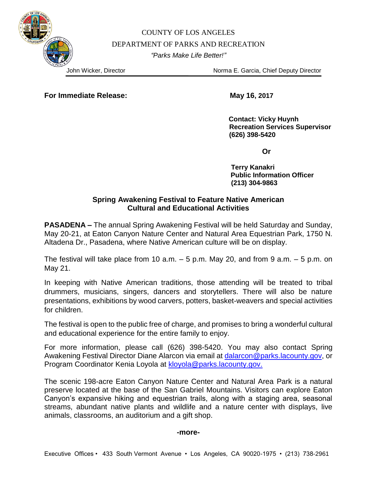COUNTY OF LOS ANGELES DEPARTMENT OF PARKS AND RECREATION *"Parks Make Life Better!"*

John Wicker, Director Norma E. Garcia, Chief Deputy Director

**For Immediate Release:** May 16, 2017

 **Contact: Vicky Huynh Recreation Services Supervisor (626) 398-5420**

*<u>Dramatics</u>* 

 **Terry Kanakri Public Information Officer (213) 304-9863**

## **Spring Awakening Festival to Feature Native American Cultural and Educational Activities**

**PASADENA –** The annual Spring Awakening Festival will be held Saturday and Sunday, May 20-21, at Eaton Canyon Nature Center and Natural Area Equestrian Park, 1750 N. Altadena Dr., Pasadena, where Native American culture will be on display.

The festival will take place from 10 a.m. – 5 p.m. May 20, and from 9 a.m. – 5 p.m. on May 21.

In keeping with Native American traditions, those attending will be treated to tribal drummers, musicians, singers, dancers and storytellers. There will also be nature presentations, exhibitions by wood carvers, potters, basket-weavers and special activities for children.

The festival is open to the public free of charge, and promises to bring a wonderful cultural and educational experience for the entire family to enjoy.

For more information, please call (626) 398-5420. You may also contact Spring Awakening Festival Director Diane Alarcon via email at [dalarcon@parks.lacounty.gov,](mailto:dalarcon@parks.lacounty.gov) or Program Coordinator Kenia Loyola at [kloyola@parks.lacounty.gov.](mailto:kloyola@parks.lacounty.gov)

The scenic 198-acre Eaton Canyon Nature Center and Natural Area Park is a natural preserve located at the base of the San Gabriel Mountains. Visitors can explore Eaton Canyon's expansive hiking and equestrian trails, along with a staging area, seasonal streams, abundant native plants and wildlife and a nature center with displays, live animals, classrooms, an auditorium and a gift shop.

## **-more-**